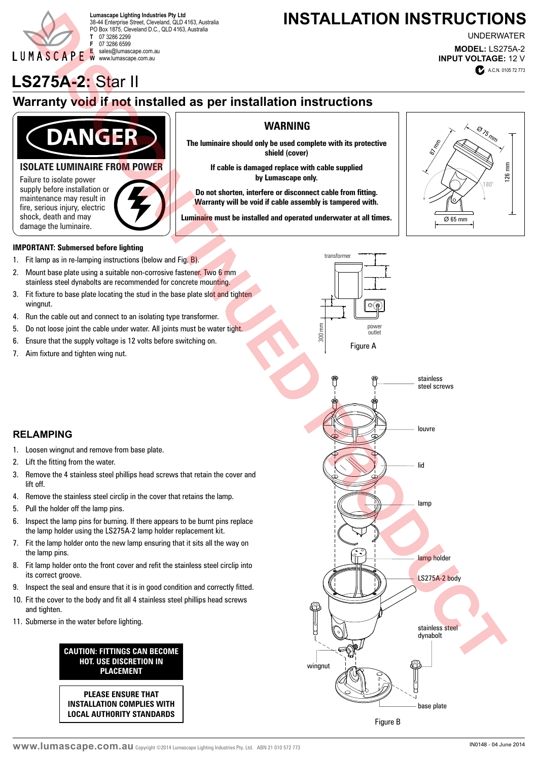

38-44 Enterprise Street, Cleveland, QLD 4163, Australia PO Box 1875, Cleveland D.C., QLD 4163, Australia **T** 07 3286 2299 **F** 07 3286 6599 **E** sales@lumascape.com.au **W** www.lumascape.com.au

## Lumascape Lighting Industries Pty Ltd<br>38.44 Enterprise Street Cleveland OLD.4163 Australia **Lumascape Lighting Industries Pty Ltd**

**MODEL:** LS275A-2 **INPUT VOLTAGE:** 12 V UNDERWATER

# **LS275A-2:** Star II **A.C.N. 0105 72 773**

### **Warranty void if not installed as per installation instructions**



7. Aim fixture and tighten wing nut.

2. Lift the fitting from the water.

5. Pull the holder off the lamp pins.

11. Submerse in the water before lighting.

lift off.

**RELAMPING**

the lamp pins.

and tighten.

its correct groove.

1. Loosen wingnut and remove from base plate.

3. Remove the 4 stainless steel phillips head screws that retain the cover and

6. Inspect the lamp pins for burning. If there appears to be burnt pins replace the lamp holder using the LS275A-2 lamp holder replacement kit. 7. Fit the lamp holder onto the new lamp ensuring that it sits all the way on

8. Fit lamp holder onto the front cover and refit the stainless steel circlip into

9. Inspect the seal and ensure that it is in good condition and correctly fitted. 10. Fit the cover to the body and fit all 4 stainless steel phillips head screws

> **CAUTION: FITTINGS CAN BECOME HOT. USE DISCRETION IN PLACEMENT**

**PLEASE ENSURE THAT INSTALLATION COMPLIES WITH LOCAL AUTHORITY STANDARDS**

4. Remove the stainless steel circlip in the cover that retains the lamp.



#### Figure B

#### **WWW. UMASCADE.COM.AU** Copyright ©2014 Lumascape Lighting Industries Pty. Ltd. ABN 21 010 572 773